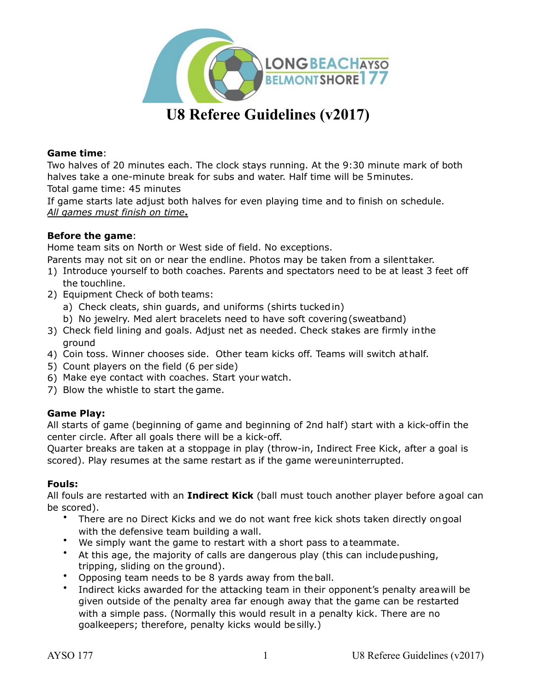

# **U8 Referee Guidelines (v2017)**

# **Game time**:

Two halves of 20 minutes each. The clock stays running. At the 9:30 minute mark of both halves take a one-minute break for subs and water. Half time will be 5minutes. Total game time: 45 minutes

If game starts late adjust both halves for even playing time and to finish on schedule. *All games must finish on time***.**

# **Before the game**:

Home team sits on North or West side of field. No exceptions.

Parents may not sit on or near the endline. Photos may be taken from a silenttaker.

- 1) Introduce yourself to both coaches. Parents and spectators need to be at least 3 feet off the touchline.
- 2) Equipment Check of both teams:
	- a) Check cleats, shin guards, and uniforms (shirts tuckedin)
	- b) No jewelry. Med alert bracelets need to have soft covering(sweatband)
- 3) Check field lining and goals. Adjust net as needed. Check stakes are firmly inthe ground
- 4) Coin toss. Winner chooses side. Other team kicks off. Teams will switch athalf.
- 5) Count players on the field (6 per side)
- 6) Make eye contact with coaches. Start your watch.
- 7) Blow the whistle to start the game.

# **Game Play:**

All starts of game (beginning of game and beginning of 2nd half) start with a kick-offin the center circle. After all goals there will be a kick-off.

Quarter breaks are taken at a stoppage in play (throw-in, Indirect Free Kick, after a goal is scored). Play resumes at the same restart as if the game wereuninterrupted.

## **Fouls:**

All fouls are restarted with an **Indirect Kick** (ball must touch another player before agoal can be scored).

- There are no Direct Kicks and we do not want free kick shots taken directly ongoal with the defensive team building a wall.
- We simply want the game to restart with a short pass to ateammate.
- At this age, the majority of calls are dangerous play (this can includepushing, tripping, sliding on the ground).
- Opposing team needs to be 8 yards away from the ball.
- Indirect kicks awarded for the attacking team in their opponent's penalty areawill be given outside of the penalty area far enough away that the game can be restarted with a simple pass. (Normally this would result in a penalty kick. There are no goalkeepers; therefore, penalty kicks would be silly.)